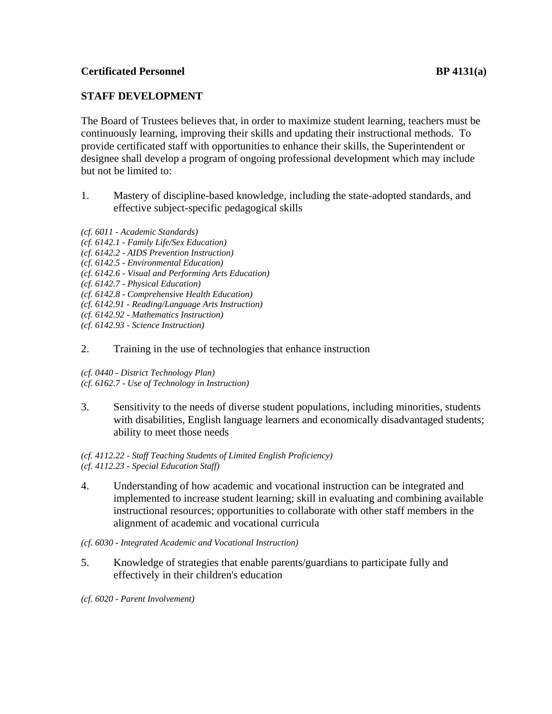# **Certificated Personnel BP 4131(a)**

# **STAFF DEVELOPMENT**

The Board of Trustees believes that, in order to maximize student learning, teachers must be continuously learning, improving their skills and updating their instructional methods. To provide certificated staff with opportunities to enhance their skills, the Superintendent or designee shall develop a program of ongoing professional development which may include but not be limited to:

- 1. Mastery of discipline-based knowledge, including the state-adopted standards, and effective subject-specific pedagogical skills
- *(cf. 6011 - Academic Standards)*
- *(cf. 6142.1 - Family Life/Sex Education)*
- *(cf. 6142.2 - AIDS Prevention Instruction)*
- *(cf. 6142.5 - Environmental Education)*
- *(cf. 6142.6 - Visual and Performing Arts Education)*
- *(cf. 6142.7 - Physical Education)*
- *(cf. 6142.8 - Comprehensive Health Education)*
- *(cf. 6142.91 - Reading/Language Arts Instruction)*
- *(cf. 6142.92 - Mathematics Instruction)*
- *(cf. 6142.93 - Science Instruction)*

### 2. Training in the use of technologies that enhance instruction

*(cf. 0440 - District Technology Plan)*

- *(cf. 6162.7 - Use of Technology in Instruction)*
- 3. Sensitivity to the needs of diverse student populations, including minorities, students with disabilities, English language learners and economically disadvantaged students; ability to meet those needs

#### *(cf. 4112.22 - Staff Teaching Students of Limited English Proficiency) (cf. 4112.23 - Special Education Staff)*

4. Understanding of how academic and vocational instruction can be integrated and implemented to increase student learning; skill in evaluating and combining available instructional resources; opportunities to collaborate with other staff members in the alignment of academic and vocational curricula

*(cf. 6030 - Integrated Academic and Vocational Instruction)*

5. Knowledge of strategies that enable parents/guardians to participate fully and effectively in their children's education

*(cf. 6020 - Parent Involvement)*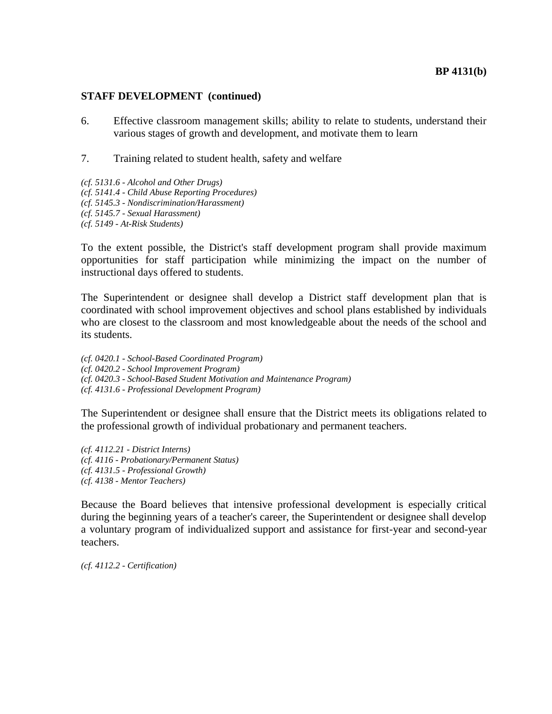#### **BP 4131(b)**

#### **STAFF DEVELOPMENT (continued)**

- 6. Effective classroom management skills; ability to relate to students, understand their various stages of growth and development, and motivate them to learn
- 7. Training related to student health, safety and welfare
- *(cf. 5131.6 - Alcohol and Other Drugs) (cf. 5141.4 - Child Abuse Reporting Procedures) (cf. 5145.3 - Nondiscrimination/Harassment) (cf. 5145.7 - Sexual Harassment) (cf. 5149 - At-Risk Students)*

To the extent possible, the District's staff development program shall provide maximum opportunities for staff participation while minimizing the impact on the number of instructional days offered to students.

The Superintendent or designee shall develop a District staff development plan that is coordinated with school improvement objectives and school plans established by individuals who are closest to the classroom and most knowledgeable about the needs of the school and its students.

*(cf. 0420.1 - School-Based Coordinated Program) (cf. 0420.2 - School Improvement Program) (cf. 0420.3 - School-Based Student Motivation and Maintenance Program) (cf. 4131.6 - Professional Development Program)*

The Superintendent or designee shall ensure that the District meets its obligations related to the professional growth of individual probationary and permanent teachers.

*(cf. 4112.21 - District Interns) (cf. 4116 - Probationary/Permanent Status) (cf. 4131.5 - Professional Growth) (cf. 4138 - Mentor Teachers)*

Because the Board believes that intensive professional development is especially critical during the beginning years of a teacher's career, the Superintendent or designee shall develop a voluntary program of individualized support and assistance for first-year and second-year teachers.

*(cf. 4112.2 - Certification)*